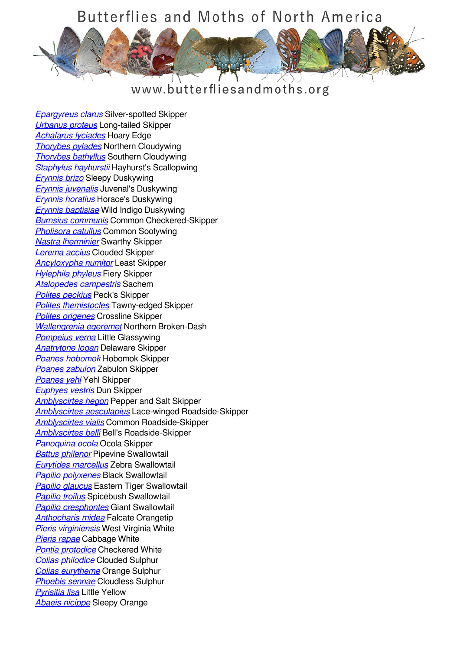## Butterflies and Moths of North America



## www.butterfliesandmoths.org

*[Epargyreus clarus](/species/Epargyreus-clarus)* Silver-spotted Skipper *[Urbanus proteus](/species/Urbanus-proteus)* Long-tailed Skipper *[Achalarus lyciades](/species/Achalarus-lyciades)* Hoary Edge *[Thorybes pylades](/species/Thorybes-pylades)* Northern Cloudywing *[Thorybes bathyllus](/species/Thorybes-bathyllus)* Southern Cloudywing *[Staphylus hayhurstii](/species/Staphylus-hayhurstii)* Hayhurst's Scallopwing *[Erynnis brizo](/species/Erynnis-brizo)* Sleepy Duskywing *[Erynnis juvenalis](/species/Erynnis-juvenalis)* Juvenal's Duskywing *[Erynnis horatius](/species/Erynnis-horatius)* Horace's Duskywing *[Erynnis baptisiae](/species/Erynnis-baptisiae)* Wild Indigo Duskywing *[Burnsius communis](/species/Pyrgus-communis)* Common Checkered-Skipper *[Pholisora catullus](/species/Pholisora-catullus)* Common Sootywing *[Nastra lherminier](/species/Nastra-lherminier)* Swarthy Skipper *[Lerema accius](/species/Lerema-accius)* Clouded Skipper *[Ancyloxypha numitor](/species/Ancyloxypha-numitor)* Least Skipper *[Hylephila phyleus](/species/Hylephila-phyleus)* Fiery Skipper *[Atalopedes campestris](/species/Atalopedes-campestris)* Sachem *[Polites peckius](/species/Polites-peckius)* Peck's Skipper *[Polites themistocles](/species/Polites-themistocles)* Tawny-edged Skipper *[Polites origenes](/species/Polites-origenes)* Crossline Skipper *[Wallengrenia egeremet](/species/Wallengrenia-egeremet)* Northern Broken-Dash *[Pompeius verna](/species/Pompeius-verna)* Little Glassywing *[Anatrytone logan](/species/Anatrytone-logan)* Delaware Skipper *[Poanes hobomok](/species/Poanes-hobomok)* Hobomok Skipper *[Poanes zabulon](/species/Poanes-zabulon)* Zabulon Skipper *[Poanes yehl](/species/Poanes-yehl)* Yehl Skipper *[Euphyes vestris](/species/Euphyes-vestris)* Dun Skipper *[Amblyscirtes hegon](/species/Amblyscirtes-hegon)* Pepper and Salt Skipper *[Amblyscirtes aesculapius](/species/Amblyscirtes-aesculapius)* Lace-winged Roadside-Skipper *[Amblyscirtes vialis](/species/Amblyscirtes-vialis)* Common Roadside-Skipper *[Amblyscirtes belli](/species/Amblyscirtes-belli)* Bell's Roadside-Skipper *[Panoquina ocola](/species/Panoquina-ocola)* Ocola Skipper *[Battus philenor](/species/Battus-philenor)* Pipevine Swallowtail *[Eurytides marcellus](/species/Eurytides-marcellus)* Zebra Swallowtail *[Papilio polyxenes](/species/Papilio-polyxenes)* Black Swallowtail *[Papilio glaucus](/species/Papilio-glaucus)* Eastern Tiger Swallowtail *[Papilio troilus](/species/Papilio-troilus)* Spicebush Swallowtail *[Papilio cresphontes](/species/Papilio-cresphontes)* Giant Swallowtail *[Anthocharis midea](/species/Anthocharis-midea)* Falcate Orangetip *[Pieris virginiensis](/species/Pieris-virginiensis)* West Virginia White *[Pieris rapae](/species/Pieris-rapae)* Cabbage White *[Pontia protodice](/species/Pontia-protodice)* Checkered White *[Colias philodice](/species/Colias-philodice)* Clouded Sulphur *[Colias eurytheme](/species/Colias-eurytheme)* Orange Sulphur *[Phoebis sennae](/species/Phoebis-sennae)* Cloudless Sulphur *[Pyrisitia lisa](/species/Pyrisitia-lisa)* Little Yellow *[Abaeis nicippe](/species/Abaeis-nicippe)* Sleepy Orange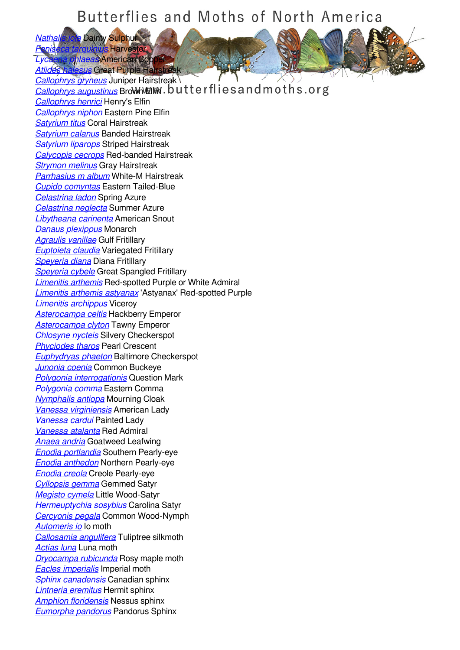## Butterflies and Moths of North America

*[Nathalis iole](/species/Nathalis-iole)* Dainty Sulphur *[Feniseca tarquinius](/species/Feniseca-tarquinius)* Harvester

*[Lycaena phlaeas](/species/Lycaena-phlaeas)* American Copper *<u>Iesus</u>* **Great Purple Hairstreak** *[Callophrys gryneus](/species/Callophrys-gryneus)* Juniper Hairstreak

**[Callophrys augustinus](/species/Callophrys-augustinus)** Brown Elimited Utterflies and moths.org *[Callophrys henrici](/species/Callophrys-henrici)* Henry's Elfin *[Callophrys niphon](/species/Callophrys-niphon)* Eastern Pine Elfin *[Satyrium titus](/species/Satyrium-titus)* Coral Hairstreak *[Satyrium calanus](/species/Satyrium-calanus)* Banded Hairstreak *[Satyrium liparops](/species/Satyrium-liparops)* Striped Hairstreak *[Calycopis cecrops](/species/Calycopis-cecrops)* Red-banded Hairstreak *[Strymon melinus](/species/Strymon-melinus)* Gray Hairstreak *[Parrhasius m album](/species/Parrhasius-m-album)* White-M Hairstreak *[Cupido comyntas](/species/Cupido-comyntas)* Eastern Tailed-Blue *[Celastrina ladon](/species/Celastrina-ladon)* Spring Azure *[Celastrina neglecta](/species/Celastrina-neglecta)* Summer Azure *[Libytheana carinenta](/species/Libytheana-carinenta)* American Snout *[Danaus plexippus](/species/Danaus-plexippus)* Monarch *[Agraulis vanillae](/species/Agraulis-vanillae)* Gulf Fritillary *[Euptoieta claudia](/species/Euptoieta-claudia)* Variegated Fritillary *[Speyeria diana](/species/Speyeria-diana)* Diana Fritillary *[Speyeria cybele](/species/Speyeria-cybele)* Great Spangled Fritillary *[Limenitis arthemis](/species/Limenitis-arthemis)* Red-spotted Purple or White Admiral *[Limenitis arthemis astyanax](/species/Limenitis-arthemis-astyanax)* 'Astyanax' Red-spotted Purple *[Limenitis archippus](/species/Limenitis-archippus)* Viceroy *[Asterocampa celtis](/species/Asterocampa-celtis)* Hackberry Emperor *[Asterocampa clyton](/species/Asterocampa-clyton)* Tawny Emperor *[Chlosyne nycteis](/species/Chlosyne-nycteis)* Silvery Checkerspot *[Phyciodes tharos](/species/Phyciodes-tharos)* Pearl Crescent *[Euphydryas phaeton](/species/Euphydryas-phaeton)* Baltimore Checkerspot *[Junonia coenia](/species/Junonia-coenia)* Common Buckeye *[Polygonia interrogationis](/species/Polygonia-interrogationis)* Question Mark *[Polygonia comma](/species/Polygonia-comma)* Eastern Comma *[Nymphalis antiopa](/species/Nymphalis-antiopa)* Mourning Cloak *[Vanessa virginiensis](/species/Vanessa-virginiensis)* American Lady *[Vanessa cardui](/species/Vanessa-cardui)* Painted Lady *[Vanessa atalanta](/species/Vanessa-atalanta)* Red Admiral *[Anaea andria](/species/Anaea-andria)* Goatweed Leafwing *[Enodia portlandia](/species/Enodia-portlandia)* Southern Pearly-eye *[Enodia anthedon](/species/Enodia-anthedon)* Northern Pearly-eye *[Enodia creola](/species/Enodia-creola)* Creole Pearly-eye *[Cyllopsis gemma](/species/Cyllopsis-gemma)* Gemmed Satyr *[Megisto cymela](/species/Megisto-cymela)* Little Wood-Satyr *[Hermeuptychia sosybius](/species/Hermeuptychia-sosybius)* Carolina Satyr *[Cercyonis pegala](/species/Cercyonis-pegala)* Common Wood-Nymph *[Automeris io](/species/Automeris-io)* Io moth *[Callosamia angulifera](/species/Callosamia-angulifera)* Tuliptree silkmoth *[Actias luna](/species/Actias-luna)* Luna moth *[Dryocampa rubicunda](/species/Dryocampa-rubicunda)* Rosy maple moth *[Eacles imperialis](/species/Eacles-imperialis)* Imperial moth *[Sphinx canadensis](/species/Sphinx-canadensis)* Canadian sphinx *[Lintneria eremitus](/species/Lintneria-eremitus)* Hermit sphinx *[Amphion floridensis](/species/Amphion-floridensis)* Nessus sphinx *[Eumorpha pandorus](/species/Eumorpha-pandorus)* Pandorus Sphinx